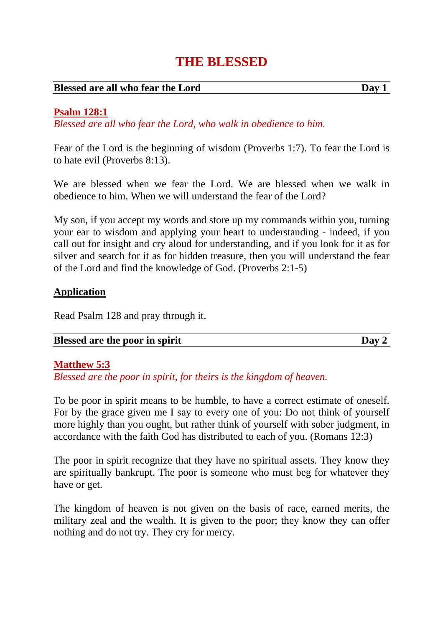# **THE BLESSED**

#### **Blessed are all who fear the Lord Day 1**

#### **Psalm 128:1**

*Blessed are all who fear the Lord, who walk in obedience to him.*

Fear of the Lord is the beginning of wisdom (Proverbs 1:7). To fear the Lord is to hate evil (Proverbs 8:13).

We are blessed when we fear the Lord. We are blessed when we walk in obedience to him. When we will understand the fear of the Lord?

My son, if you accept my words and store up my commands within you, turning your ear to wisdom and applying your heart to understanding - indeed, if you call out for insight and cry aloud for understanding, and if you look for it as for silver and search for it as for hidden treasure, then you will understand the fear of the Lord and find the knowledge of God. (Proverbs 2:1-5)

#### **Application**

Read Psalm 128 and pray through it.

#### **Blessed are the poor in spirit Day 2**

#### **Matthew 5:3**

*Blessed are the poor in spirit, for theirs is the kingdom of heaven.*

To be poor in spirit means to be humble, to have a correct estimate of oneself. For by the grace given me I say to every one of you: Do not think of yourself more highly than you ought, but rather think of yourself with sober judgment, in accordance with the faith God has distributed to each of you. (Romans 12:3)

The poor in spirit recognize that they have no spiritual assets. They know they are spiritually bankrupt. The poor is someone who must beg for whatever they have or get.

The kingdom of heaven is not given on the basis of race, earned merits, the military zeal and the wealth. It is given to the poor; they know they can offer nothing and do not try. They cry for mercy.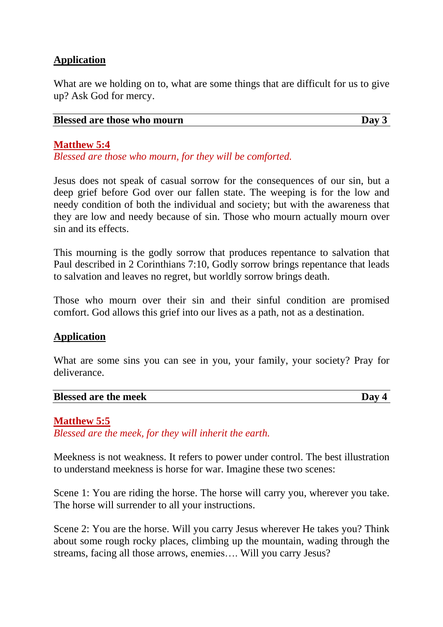# **Application**

What are we holding on to, what are some things that are difficult for us to give up? Ask God for mercy.

| <b>Blessed are those who mourn</b> | Day 3 |
|------------------------------------|-------|
|------------------------------------|-------|

### **Matthew 5:4**

*Blessed are those who mourn, for they will be comforted.*

Jesus does not speak of casual sorrow for the consequences of our sin, but a deep grief before God over our fallen state. The weeping is for the low and needy condition of both the individual and society; but with the awareness that they are low and needy because of sin. Those who mourn actually mourn over sin and its effects.

This mourning is the godly sorrow that produces repentance to salvation that Paul described in 2 Corinthians 7:10, Godly sorrow brings repentance that leads to salvation and leaves no regret, but worldly sorrow brings death.

Those who mourn over their sin and their sinful condition are promised comfort. God allows this grief into our lives as a path, not as a destination.

### **Application**

What are some sins you can see in you, your family, your society? Pray for deliverance.

#### **Blessed** are the meek Day 4

### **Matthew 5:5**

*Blessed are the meek, for they will inherit the earth.*

Meekness is not weakness. It refers to power under control. The best illustration to understand meekness is horse for war. Imagine these two scenes:

Scene 1: You are riding the horse. The horse will carry you, wherever you take. The horse will surrender to all your instructions.

Scene 2: You are the horse. Will you carry Jesus wherever He takes you? Think about some rough rocky places, climbing up the mountain, wading through the streams, facing all those arrows, enemies…. Will you carry Jesus?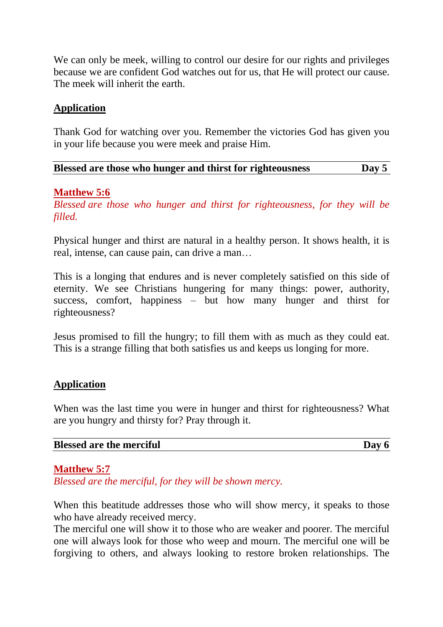We can only be meek, willing to control our desire for our rights and privileges because we are confident God watches out for us, that He will protect our cause. The meek will inherit the earth.

### **Application**

Thank God for watching over you. Remember the victories God has given you in your life because you were meek and praise Him.

| Blessed are those who hunger and thirst for righteousness | Day 5 |
|-----------------------------------------------------------|-------|
|-----------------------------------------------------------|-------|

#### **Matthew 5:6**

*Blessed are those who hunger and thirst for righteousness, for they will be filled.*

Physical hunger and thirst are natural in a healthy person. It shows health, it is real, intense, can cause pain, can drive a man…

This is a longing that endures and is never completely satisfied on this side of eternity. We see Christians hungering for many things: power, authority, success, comfort, happiness – but how many hunger and thirst for righteousness?

Jesus promised to fill the hungry; to fill them with as much as they could eat. This is a strange filling that both satisfies us and keeps us longing for more.

#### **Application**

When was the last time you were in hunger and thirst for righteousness? What are you hungry and thirsty for? Pray through it.

#### **Blessed** are the merciful Day 6

#### **Matthew 5:7**

*Blessed are the merciful, for they will be shown mercy.*

When this beatitude addresses those who will show mercy, it speaks to those who have already received mercy.

The merciful one will show it to those who are weaker and poorer. The merciful one will always look for those who weep and mourn. The merciful one will be forgiving to others, and always looking to restore broken relationships. The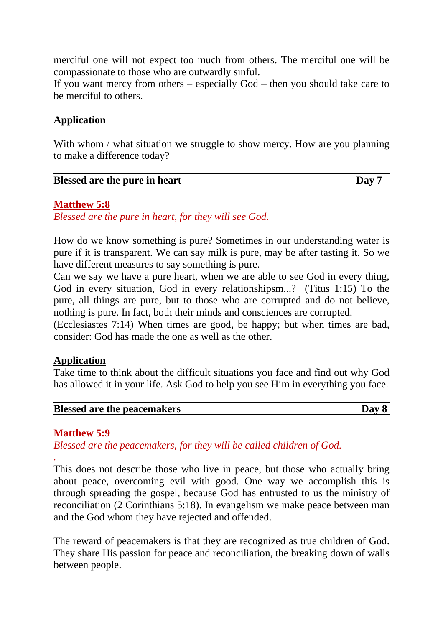merciful one will not expect too much from others. The merciful one will be compassionate to those who are outwardly sinful.

If you want mercy from others – especially God – then you should take care to be merciful to others.

### **Application**

With whom / what situation we struggle to show mercy. How are you planning to make a difference today?

#### **Matthew 5:8**

*Blessed are the pure in heart, for they will see God.*

How do we know something is pure? Sometimes in our understanding water is pure if it is transparent. We can say milk is pure, may be after tasting it. So we have different measures to say something is pure.

Can we say we have a pure heart, when we are able to see God in every thing, God in every situation, God in every relationshipsm...? (Titus 1:15) To the pure, all things are pure, but to those who are corrupted and do not believe, nothing is pure. In fact, both their minds and consciences are corrupted.

(Ecclesiastes 7:14) When times are good, be happy; but when times are bad, consider: God has made the one as well as the other.

#### **Application**

Take time to think about the difficult situations you face and find out why God has allowed it in your life. Ask God to help you see Him in everything you face.

| <b>Blessed are the peacemakers</b> | Day 8 |
|------------------------------------|-------|
|                                    |       |

### **Matthew 5:9**

*.*

*Blessed are the peacemakers, for they will be called children of God.*

This does not describe those who live in peace, but those who actually bring about peace, overcoming evil with good. One way we accomplish this is through spreading the gospel, because God has entrusted to us the ministry of reconciliation (2 Corinthians 5:18). In evangelism we make peace between man and the God whom they have rejected and offended.

The reward of peacemakers is that they are recognized as true children of God. They share His passion for peace and reconciliation, the breaking down of walls between people.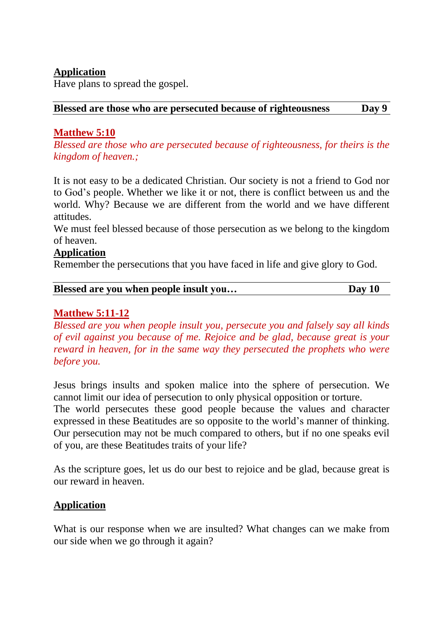# **Application**

Have plans to spread the gospel.

#### **Blessed are those who are persecuted because of righteousness Day 9**

# **Matthew 5:10**

*Blessed are those who are persecuted because of righteousness, for theirs is the kingdom of heaven.;*

It is not easy to be a dedicated Christian. Our society is not a friend to God nor to God's people. Whether we like it or not, there is conflict between us and the world. Why? Because we are different from the world and we have different attitudes.

We must feel blessed because of those persecution as we belong to the kingdom of heaven.

#### **Application**

Remember the persecutions that you have faced in life and give glory to God.

| Blessed are you when people insult you | Day 10 |
|----------------------------------------|--------|
|                                        |        |

# **Matthew 5:11-12**

*Blessed are you when people insult you, persecute you and falsely say all kinds of evil against you because of me. Rejoice and be glad, because great is your reward in heaven, for in the same way they persecuted the prophets who were before you.*

Jesus brings insults and spoken malice into the sphere of persecution. We cannot limit our idea of persecution to only physical opposition or torture.

The world persecutes these good people because the values and character expressed in these Beatitudes are so opposite to the world's manner of thinking. Our persecution may not be much compared to others, but if no one speaks evil of you, are these Beatitudes traits of your life?

As the scripture goes, let us do our best to rejoice and be glad, because great is our reward in heaven.

### **Application**

What is our response when we are insulted? What changes can we make from our side when we go through it again?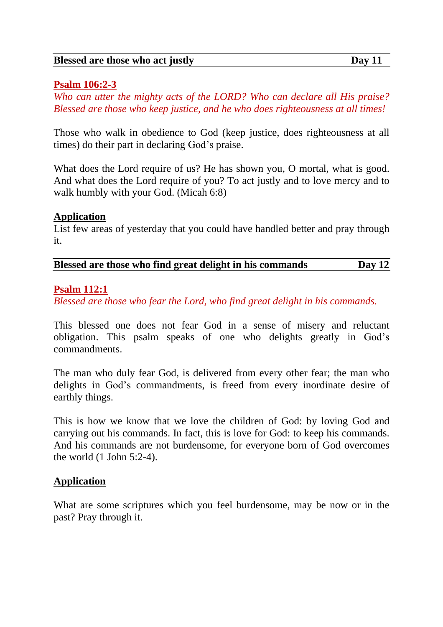#### **Blessed are those who act justly Day 11**

#### **Psalm 106:2-3**

*Who can utter the mighty acts of the LORD? Who can declare all His praise? Blessed are those who keep justice, and he who does righteousness at all times!*

Those who walk in obedience to God (keep justice, does righteousness at all times) do their part in declaring God's praise.

What does the Lord require of us? He has shown you, O mortal, what is good. And what does the Lord require of you? To act justly and to love mercy and to walk humbly with your God. (Micah 6:8)

#### **Application**

List few areas of yesterday that you could have handled better and pray through it.

| Blessed are those who find great delight in his commands | Day $12$ |
|----------------------------------------------------------|----------|
|----------------------------------------------------------|----------|

#### **Psalm 112:1**

*Blessed are those who fear the Lord, who find great delight in his commands.*

This blessed one does not fear God in a sense of misery and reluctant obligation. This psalm speaks of one who delights greatly in God's commandments.

The man who duly fear God, is delivered from every other fear; the man who delights in God's commandments, is freed from every inordinate desire of earthly things.

This is how we know that we love the children of God: by loving God and carrying out his commands. In fact, this is love for God: to keep his commands. And his commands are not burdensome, for everyone born of God overcomes the world (1 John 5:2-4).

### **Application**

What are some scriptures which you feel burdensome, may be now or in the past? Pray through it.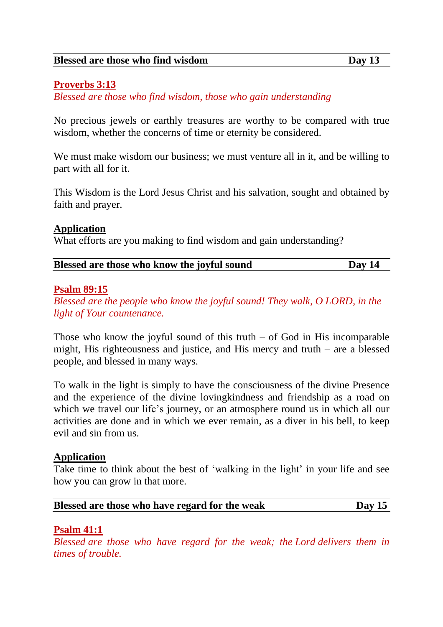# **Proverbs 3:13**

*Blessed are those who find wisdom, those who gain understanding*

No precious jewels or earthly treasures are worthy to be compared with true wisdom, whether the concerns of time or eternity be considered.

We must make wisdom our business; we must venture all in it, and be willing to part with all for it.

This Wisdom is the Lord Jesus Christ and his salvation, sought and obtained by faith and prayer.

#### **Application**

What efforts are you making to find wisdom and gain understanding?

| Blessed are those who know the joyful sound | Day 14 |
|---------------------------------------------|--------|
|---------------------------------------------|--------|

#### **Psalm 89:15**

*Blessed are the people who know the joyful sound! They walk, O LORD, in the light of Your countenance.*

Those who know the joyful sound of this truth  $-$  of God in His incomparable might, His righteousness and justice, and His mercy and truth – are a blessed people, and blessed in many ways.

To walk in the light is simply to have the consciousness of the divine Presence and the experience of the divine lovingkindness and friendship as a road on which we travel our life's journey, or an atmosphere round us in which all our activities are done and in which we ever remain, as a diver in his bell, to keep evil and sin from us.

### **Application**

Take time to think about the best of 'walking in the light' in your life and see how you can grow in that more.

| Blessed are those who have regard for the weak | Day $15$ |
|------------------------------------------------|----------|
|------------------------------------------------|----------|

### **Psalm 41:1**

*Blessed are those who have regard for the weak; the Lord delivers them in times of trouble.*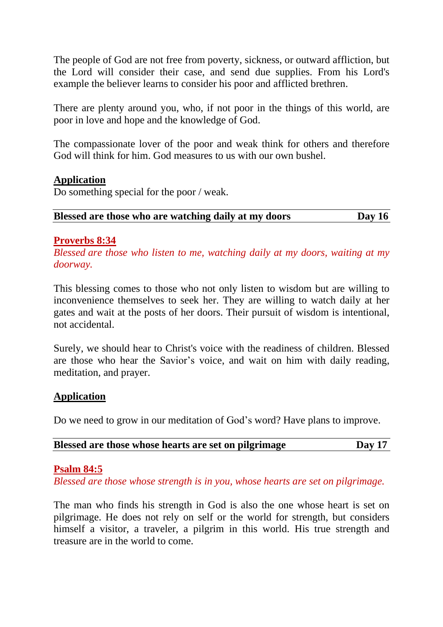The people of God are not free from poverty, sickness, or outward affliction, but the Lord will consider their case, and send due supplies. From his Lord's example the believer learns to consider his poor and afflicted brethren.

There are plenty around you, who, if not poor in the things of this world, are poor in love and hope and the knowledge of God.

The compassionate lover of the poor and weak think for others and therefore God will think for him. God measures to us with our own bushel.

### **Application**

Do something special for the poor / weak.

**Blessed are those who are watching daily at my doors Day 16**

# **Proverbs 8:34**

*Blessed are those who listen to me, watching daily at my doors, waiting at my doorway.*

This blessing comes to those who not only listen to wisdom but are willing to inconvenience themselves to seek her. They are willing to watch daily at her gates and wait at the posts of her doors. Their pursuit of wisdom is intentional, not accidental.

Surely, we should hear to Christ's voice with the readiness of children. Blessed are those who hear the Savior's voice, and wait on him with daily reading, meditation, and prayer.

### **Application**

Do we need to grow in our meditation of God's word? Have plans to improve.

| Blessed are those whose hearts are set on pilgrimage | Day 17 |
|------------------------------------------------------|--------|
|                                                      |        |

### **Psalm 84:5**

*Blessed are those whose strength is in you, whose hearts are set on pilgrimage.*

The man who finds his strength in God is also the one whose heart is set on pilgrimage. He does not rely on self or the world for strength, but considers himself a visitor, a traveler, a pilgrim in this world. His true strength and treasure are in the world to come.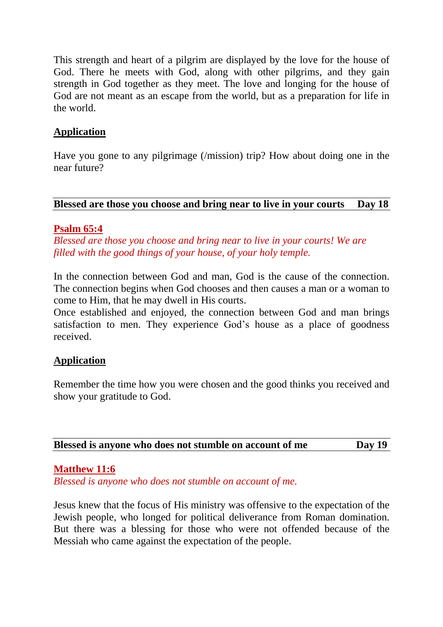This strength and heart of a pilgrim are displayed by the love for the house of God. There he meets with God, along with other pilgrims, and they gain strength in God together as they meet. The love and longing for the house of God are not meant as an escape from the world, but as a preparation for life in the world.

# **Application**

Have you gone to any pilgrimage (/mission) trip? How about doing one in the near future?

# **Blessed are those you choose and bring near to live in your courts Day 18**

#### **Psalm 65:4**

*Blessed are those you choose and bring near to live in your courts! We are filled with the good things of your house, of your holy temple.*

In the connection between God and man, God is the cause of the connection. The connection begins when God chooses and then causes a man or a woman to come to Him, that he may dwell in His courts.

Once established and enjoyed, the connection between God and man brings satisfaction to men. They experience God's house as a place of goodness received.

### **Application**

Remember the time how you were chosen and the good thinks you received and show your gratitude to God.

| Blessed is anyone who does not stumble on account of me | <b>Day 19</b> |
|---------------------------------------------------------|---------------|
|---------------------------------------------------------|---------------|

### **Matthew 11:6**

*Blessed is anyone who does not stumble on account of me.*

Jesus knew that the focus of His ministry was offensive to the expectation of the Jewish people, who longed for political deliverance from Roman domination. But there was a blessing for those who were not offended because of the Messiah who came against the expectation of the people.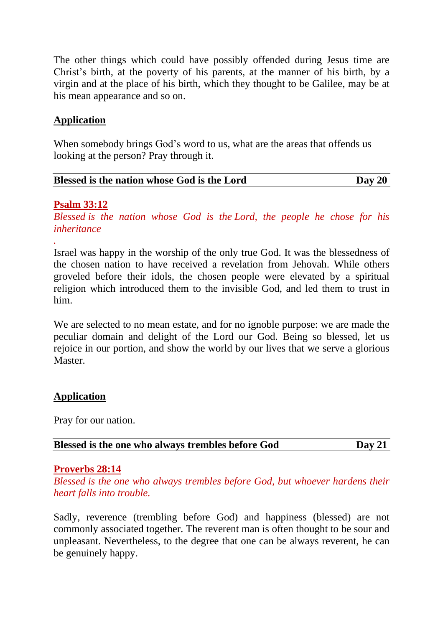The other things which could have possibly offended during Jesus time are Christ's birth, at the poverty of his parents, at the manner of his birth, by a virgin and at the place of his birth, which they thought to be Galilee, may be at his mean appearance and so on.

# **Application**

When somebody brings God's word to us, what are the areas that offends us looking at the person? Pray through it.

| Blessed is the nation whose God is the Lord | Day 20 |
|---------------------------------------------|--------|
|                                             |        |

### **Psalm 33:12**

*.*

*Blessed is the nation whose God is the Lord, the people he chose for his inheritance*

Israel was happy in the worship of the only true God. It was the blessedness of the chosen nation to have received a revelation from Jehovah. While others groveled before their idols, the chosen people were elevated by a spiritual religion which introduced them to the invisible God, and led them to trust in him.

We are selected to no mean estate, and for no ignoble purpose: we are made the peculiar domain and delight of the Lord our God. Being so blessed, let us rejoice in our portion, and show the world by our lives that we serve a glorious Master.

### **Application**

Pray for our nation.

|  | Blessed is the one who always trembles before God | Day $21$ |  |
|--|---------------------------------------------------|----------|--|
|--|---------------------------------------------------|----------|--|

#### **Proverbs 28:14**

*Blessed is the one who always trembles before God, but whoever hardens their heart falls into trouble.*

Sadly, reverence (trembling before God) and happiness (blessed) are not commonly associated together. The reverent man is often thought to be sour and unpleasant. Nevertheless, to the degree that one can be always reverent, he can be genuinely happy.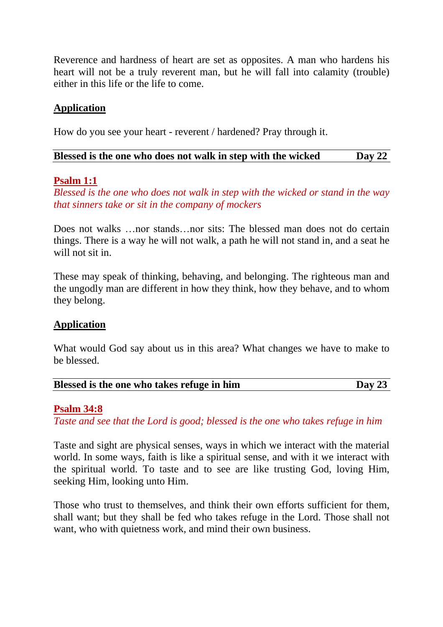Reverence and hardness of heart are set as opposites. A man who hardens his heart will not be a truly reverent man, but he will fall into calamity (trouble) either in this life or the life to come.

### **Application**

How do you see your heart - reverent / hardened? Pray through it.

| Blessed is the one who does not walk in step with the wicked | Day $22$ |
|--------------------------------------------------------------|----------|
|--------------------------------------------------------------|----------|

#### **Psalm 1:1**

*Blessed is the one who does not walk in step with the wicked or stand in the way that sinners take or sit in the company of mockers*

Does not walks …nor stands…nor sits: The blessed man does not do certain things. There is a way he will not walk, a path he will not stand in, and a seat he will not sit in.

These may speak of thinking, behaving, and belonging. The righteous man and the ungodly man are different in how they think, how they behave, and to whom they belong.

### **Application**

What would God say about us in this area? What changes we have to make to be blessed.

| Blessed is the one who takes refuge in him | Day $23$ |  |
|--------------------------------------------|----------|--|
|                                            |          |  |

#### **Psalm 34:8**

*Taste and see that the Lord is good; blessed is the one who takes refuge in him*

Taste and sight are physical senses, ways in which we interact with the material world. In some ways, faith is like a spiritual sense, and with it we interact with the spiritual world. To taste and to see are like trusting God, loving Him, seeking Him, looking unto Him.

Those who trust to themselves, and think their own efforts sufficient for them, shall want; but they shall be fed who takes refuge in the Lord. Those shall not want, who with quietness work, and mind their own business.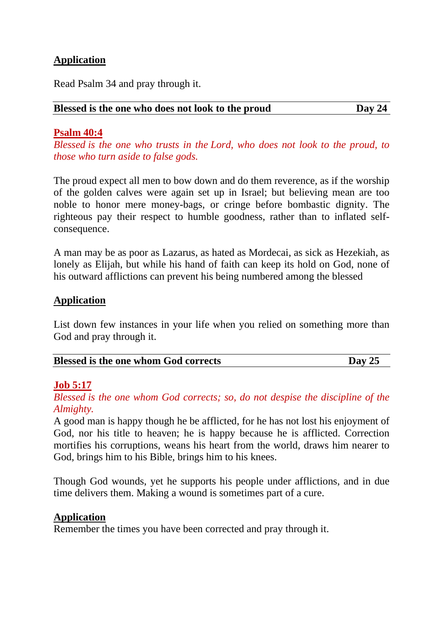# **Application**

Read Psalm 34 and pray through it.

#### **Blessed is the one who does not look to the proud Day 24**

#### **Psalm 40:4**

*Blessed is the one who trusts in the Lord, who does not look to the proud, to those who turn aside to false gods.*

The proud expect all men to bow down and do them reverence, as if the worship of the golden calves were again set up in Israel; but believing mean are too noble to honor mere money-bags, or cringe before bombastic dignity. The righteous pay their respect to humble goodness, rather than to inflated selfconsequence.

A man may be as poor as Lazarus, as hated as Mordecai, as sick as Hezekiah, as lonely as Elijah, but while his hand of faith can keep its hold on God, none of his outward afflictions can prevent his being numbered among the blessed

#### **Application**

List down few instances in your life when you relied on something more than God and pray through it.

|  | <b>Blessed is the one whom God corrects</b> | $\bf Dav\,25$ |
|--|---------------------------------------------|---------------|
|--|---------------------------------------------|---------------|

### **Job 5:17**

*Blessed is the one whom God corrects; so, do not despise the discipline of the Almighty.*

A good man is happy though he be afflicted, for he has not lost his enjoyment of God, nor his title to heaven; he is happy because he is afflicted. Correction mortifies his corruptions, weans his heart from the world, draws him nearer to God, brings him to his Bible, brings him to his knees.

Though God wounds, yet he supports his people under afflictions, and in due time delivers them. Making a wound is sometimes part of a cure.

#### **Application**

Remember the times you have been corrected and pray through it.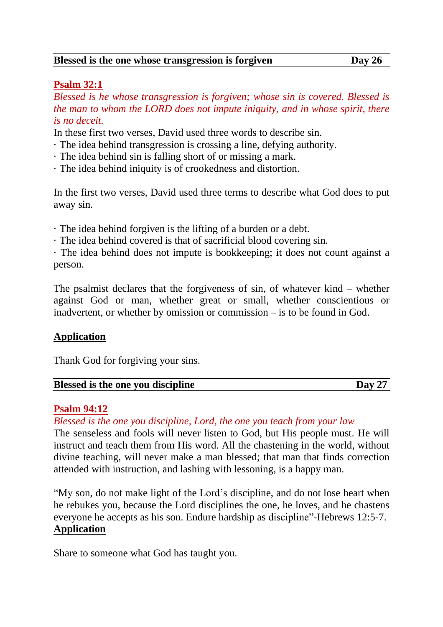#### **Blessed is the one whose transgression is forgiven Day 26**

### **Psalm 32:1**

*Blessed is he whose transgression is forgiven; whose sin is covered. Blessed is the man to whom the LORD does not impute iniquity, and in whose spirit, there is no deceit.*

In these first two verses, David used three words to describe sin.

- · The idea behind transgression is crossing a line, defying authority.
- · The idea behind sin is falling short of or missing a mark.
- · The idea behind iniquity is of crookedness and distortion.

In the first two verses, David used three terms to describe what God does to put away sin.

- · The idea behind forgiven is the lifting of a burden or a debt.
- · The idea behind covered is that of sacrificial blood covering sin.

· The idea behind does not impute is bookkeeping; it does not count against a person.

The psalmist declares that the forgiveness of sin, of whatever kind – whether against God or man, whether great or small, whether conscientious or inadvertent, or whether by omission or commission – is to be found in God.

### **Application**

Thank God for forgiving your sins.

| <b>Blessed is the one you discipline</b> | Dav |
|------------------------------------------|-----|
|------------------------------------------|-----|

#### **Psalm 94:12**

*Blessed is the one you discipline, Lord, the one you teach from your law*

The senseless and fools will never listen to God, but His people must. He will instruct and teach them from His word. All the chastening in the world, without divine teaching, will never make a man blessed; that man that finds correction attended with instruction, and lashing with lessoning, is a happy man.

"My son, do not make light of the Lord's discipline, and do not lose heart when he rebukes you, because the Lord disciplines the one, he loves, and he chastens everyone he accepts as his son. Endure hardship as discipline"-Hebrews 12:5-7. **Application**

Share to someone what God has taught you.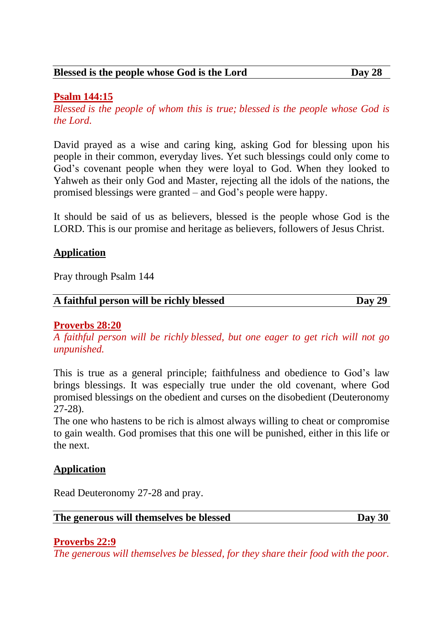# **Psalm 144:15**

*Blessed is the people of whom this is true; blessed is the people whose God is the Lord.*

David prayed as a wise and caring king, asking God for blessing upon his people in their common, everyday lives. Yet such blessings could only come to God's covenant people when they were loyal to God. When they looked to Yahweh as their only God and Master, rejecting all the idols of the nations, the promised blessings were granted – and God's people were happy.

It should be said of us as believers, blessed is the people whose God is the LORD. This is our promise and heritage as believers, followers of Jesus Christ.

# **Application**

Pray through Psalm 144

### **Proverbs 28:20**

*A faithful person will be richly blessed, but one eager to get rich will not go unpunished.*

This is true as a general principle; faithfulness and obedience to God's law brings blessings. It was especially true under the old covenant, where God promised blessings on the obedient and curses on the disobedient (Deuteronomy 27-28).

The one who hastens to be rich is almost always willing to cheat or compromise to gain wealth. God promises that this one will be punished, either in this life or the next.

# **Application**

Read Deuteronomy 27-28 and pray.

**The generous will themselves be blessed Day 30**

### **Proverbs 22:9**

*The generous will themselves be blessed, for they share their food with the poor.*